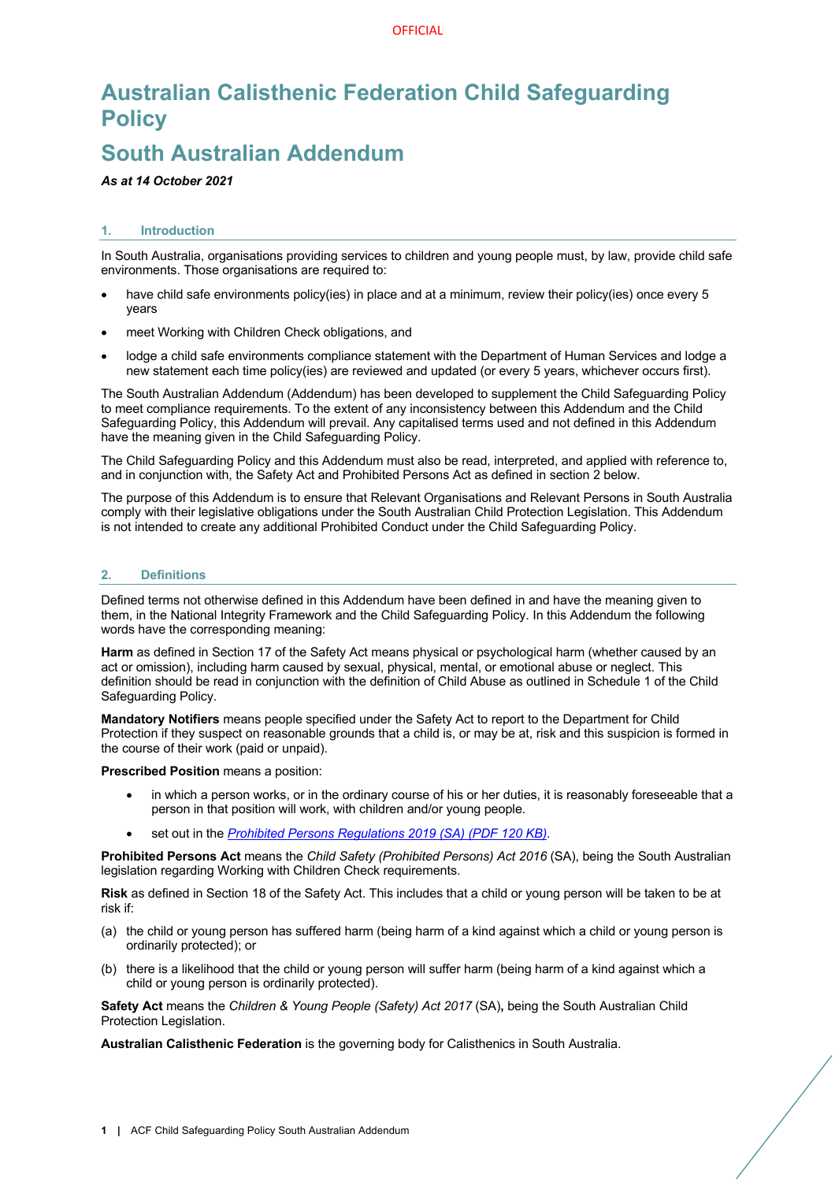# **Australian Calisthenic Federation Child Safeguarding Policy**

# **South Australian Addendum**

*As at 14 October 2021*

# **1. Introduction**

In South Australia, organisations providing services to children and young people must, by law, provide child safe environments. Those organisations are required to:

- have child safe environments policy(ies) in place and at a minimum, review their policy(ies) once every 5 years
- meet Working with Children Check obligations, and
- lodge a child safe environments compliance statement with the Department of Human Services and lodge a new statement each time policy(ies) are reviewed and updated (or every 5 years, whichever occurs first).

The South Australian Addendum (Addendum) has been developed to supplement the Child Safeguarding Policy to meet compliance requirements. To the extent of any inconsistency between this Addendum and the Child Safeguarding Policy, this Addendum will prevail. Any capitalised terms used and not defined in this Addendum have the meaning given in the Child Safeguarding Policy.

The Child Safeguarding Policy and this Addendum must also be read, interpreted, and applied with reference to, and in conjunction with, the Safety Act and Prohibited Persons Act as defined in section 2 below.

The purpose of this Addendum is to ensure that Relevant Organisations and Relevant Persons in South Australia comply with their legislative obligations under the South Australian Child Protection Legislation. This Addendum is not intended to create any additional Prohibited Conduct under the Child Safeguarding Policy.

## **2. Definitions**

Defined terms not otherwise defined in this Addendum have been defined in and have the meaning given to them, in the National Integrity Framework and the Child Safeguarding Policy. In this Addendum the following words have the corresponding meaning:

**Harm** as defined in Section 17 of the Safety Act means physical or psychological harm (whether caused by an act or omission), including harm caused by sexual, physical, mental, or emotional abuse or neglect. This definition should be read in conjunction with the definition of Child Abuse as outlined in Schedule 1 of the Child Safeguarding Policy.

**Mandatory Notifiers** means people specified under the Safety Act to report to the Department for Child Protection if they suspect on reasonable grounds that a child is, or may be at, risk and this suspicion is formed in the course of their work (paid or unpaid).

**Prescribed Position** means a position:

- in which a person works, or in the ordinary course of his or her duties, it is reasonably foreseeable that a person in that position will work, with children and/or young people.
- set out in the *Prohibited Persons Regulations 2019 (SA) (PDF 120 KB)*.

**Prohibited Persons Act** means the *Child Safety (Prohibited Persons) Act 2016* (SA), being the South Australian legislation regarding Working with Children Check requirements.

**Risk** as defined in Section 18 of the Safety Act. This includes that a child or young person will be taken to be at risk if:

- (a) the child or young person has suffered harm (being harm of a kind against which a child or young person is ordinarily protected); or
- (b) there is a likelihood that the child or young person will suffer harm (being harm of a kind against which a child or young person is ordinarily protected).

**Safety Act** means the *Children & Young People (Safety) Act 2017* (SA)**,** being the South Australian Child Protection Legislation.

**Australian Calisthenic Federation** is the governing body for Calisthenics in South Australia.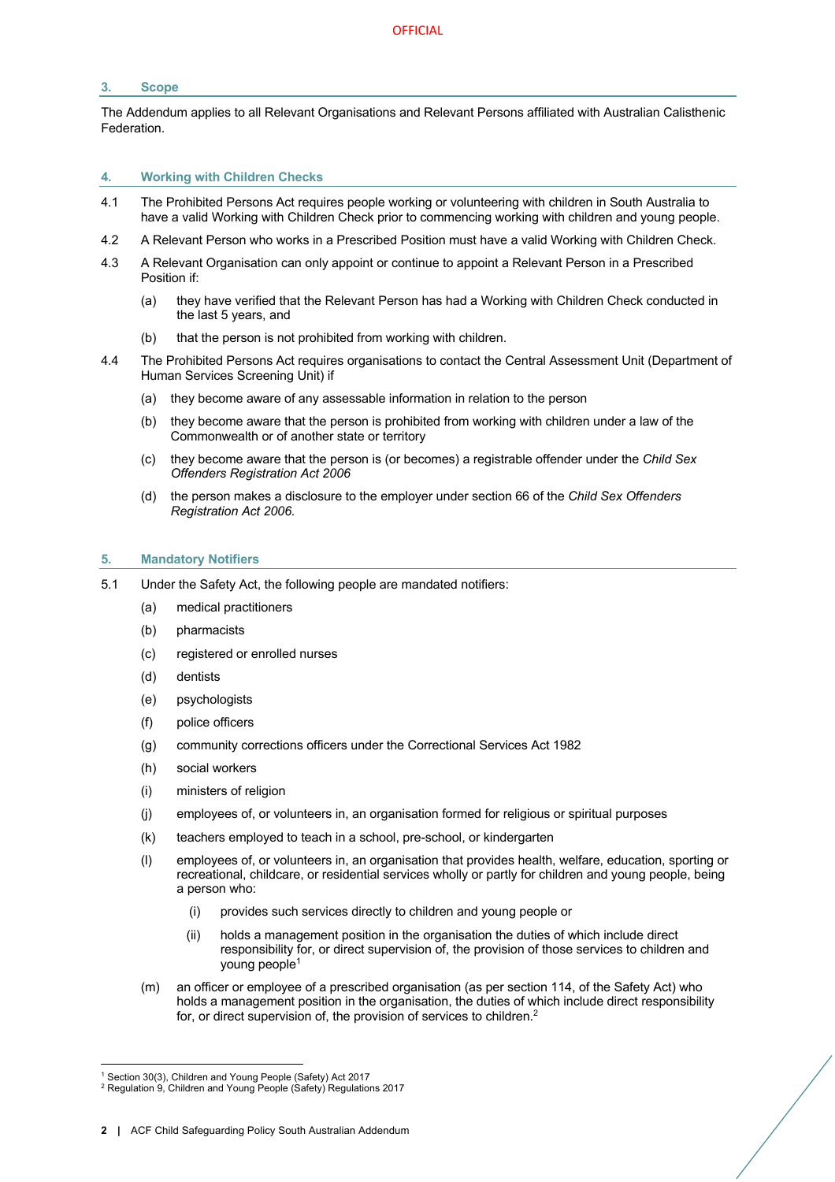### **3. Scope**

The Addendum applies to all Relevant Organisations and Relevant Persons affiliated with Australian Calisthenic Federation.

#### **4. Working with Children Checks**

- 4.1 The Prohibited Persons Act requires people working or volunteering with children in South Australia to have a valid Working with Children Check prior to commencing working with children and young people.
- 4.2 A Relevant Person who works in a Prescribed Position must have a valid Working with Children Check.
- 4.3 A Relevant Organisation can only appoint or continue to appoint a Relevant Person in a Prescribed Position if:
	- (a) they have verified that the Relevant Person has had a Working with Children Check conducted in the last 5 years, and
	- (b) that the person is not prohibited from working with children.
- 4.4 The Prohibited Persons Act requires organisations to contact the Central Assessment Unit (Department of Human Services Screening Unit) if
	- (a) they become aware of any assessable information in relation to the person
	- (b) they become aware that the person is prohibited from working with children under a law of the Commonwealth or of another state or territory
	- (c) they become aware that the person is (or becomes) a registrable offender under the *Child Sex Offenders Registration Act 2006*
	- (d) the person makes a disclosure to the employer under section 66 of the *Child Sex Offenders Registration Act 2006.*

#### **5. Mandatory Notifiers**

- 5.1 Under the Safety Act, the following people are mandated notifiers:
	- (a) medical practitioners
	- (b) pharmacists
	- (c) registered or enrolled nurses
	- (d) dentists
	- (e) psychologists
	- (f) police officers
	- (g) community corrections officers under the Correctional Services Act 1982
	- (h) social workers
	- (i) ministers of religion
	- (j) employees of, or volunteers in, an organisation formed for religious or spiritual purposes
	- (k) teachers employed to teach in a school, pre-school, or kindergarten
	- (l) employees of, or volunteers in, an organisation that provides health, welfare, education, sporting or recreational, childcare, or residential services wholly or partly for children and young people, being a person who:
		- (i) provides such services directly to children and young people or
		- (ii) holds a management position in the organisation the duties of which include direct responsibility for, or direct supervision of, the provision of those services to children and young people1
	- (m) an officer or employee of a prescribed organisation (as per section 114, of the Safety Act) who holds a management position in the organisation, the duties of which include direct responsibility for, or direct supervision of, the provision of services to children.<sup>2</sup>

<sup>&</sup>lt;sup>1</sup> Section 30(3), Children and Young People (Safety) Act 2017

<sup>&</sup>lt;sup>2</sup> Regulation 9, Children and Young People (Safety) Regulations 2017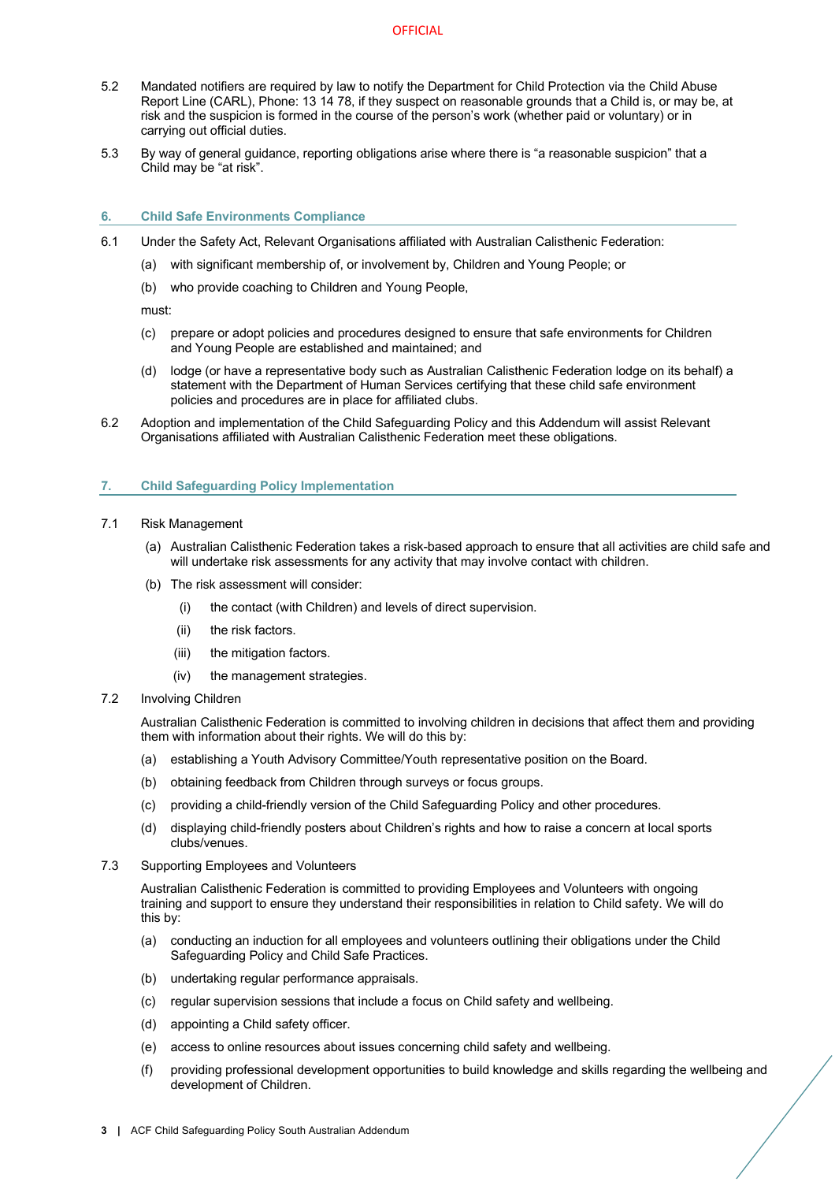- 5.2 Mandated notifiers are required by law to notify the Department for Child Protection via the Child Abuse Report Line (CARL), Phone: 13 14 78, if they suspect on reasonable grounds that a Child is, or may be, at risk and the suspicion is formed in the course of the person's work (whether paid or voluntary) or in carrying out official duties.
- 5.3 By way of general guidance, reporting obligations arise where there is "a reasonable suspicion" that a Child may be "at risk".

#### **6. Child Safe Environments Compliance**

- 6.1 Under the Safety Act, Relevant Organisations affiliated with Australian Calisthenic Federation:
	- (a) with significant membership of, or involvement by, Children and Young People; or
	- (b) who provide coaching to Children and Young People,

must:

- (c) prepare or adopt policies and procedures designed to ensure that safe environments for Children and Young People are established and maintained; and
- (d) lodge (or have a representative body such as Australian Calisthenic Federation lodge on its behalf) a statement with the Department of Human Services certifying that these child safe environment policies and procedures are in place for affiliated clubs.
- 6.2 Adoption and implementation of the Child Safeguarding Policy and this Addendum will assist Relevant Organisations affiliated with Australian Calisthenic Federation meet these obligations.

### **7. Child Safeguarding Policy Implementation**

- 7.1 Risk Management
	- (a) Australian Calisthenic Federation takes a risk-based approach to ensure that all activities are child safe and will undertake risk assessments for any activity that may involve contact with children.
	- (b) The risk assessment will consider:
		- (i) the contact (with Children) and levels of direct supervision.
		- (ii) the risk factors.
		- (iii) the mitigation factors.
		- (iv) the management strategies.
- 7.2 Involving Children

Australian Calisthenic Federation is committed to involving children in decisions that affect them and providing them with information about their rights. We will do this by:

- (a) establishing a Youth Advisory Committee/Youth representative position on the Board.
- (b) obtaining feedback from Children through surveys or focus groups.
- (c) providing a child-friendly version of the Child Safeguarding Policy and other procedures.
- (d) displaying child-friendly posters about Children's rights and how to raise a concern at local sports clubs/venues.
- 7.3 Supporting Employees and Volunteers

Australian Calisthenic Federation is committed to providing Employees and Volunteers with ongoing training and support to ensure they understand their responsibilities in relation to Child safety. We will do this by:

- (a) conducting an induction for all employees and volunteers outlining their obligations under the Child Safeguarding Policy and Child Safe Practices.
- (b) undertaking regular performance appraisals.
- (c) regular supervision sessions that include a focus on Child safety and wellbeing.
- (d) appointing a Child safety officer.
- (e) access to online resources about issues concerning child safety and wellbeing.
- (f) providing professional development opportunities to build knowledge and skills regarding the wellbeing and development of Children.